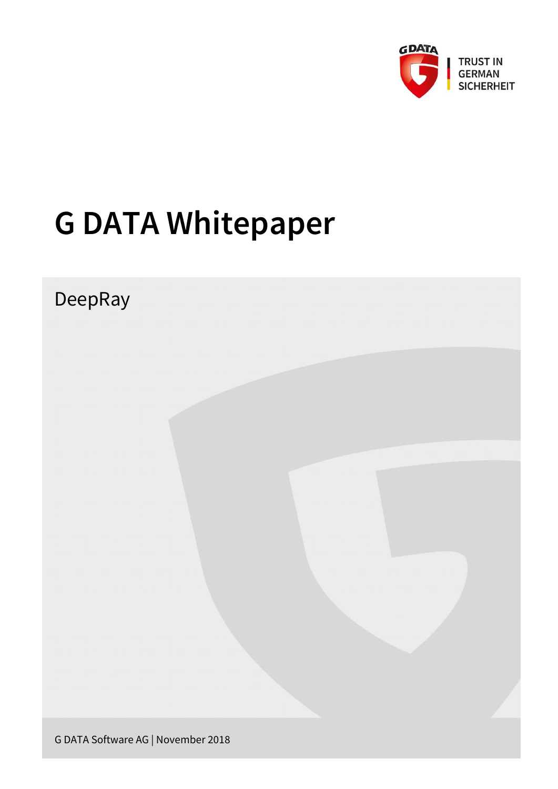

# **G DATA Whitepaper**

# DeepRay

G DATA Software AG | November 2018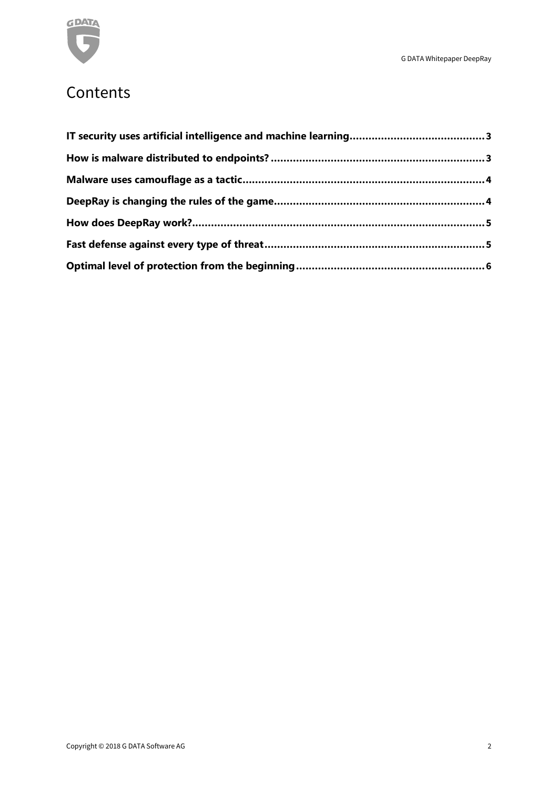

### **Contents**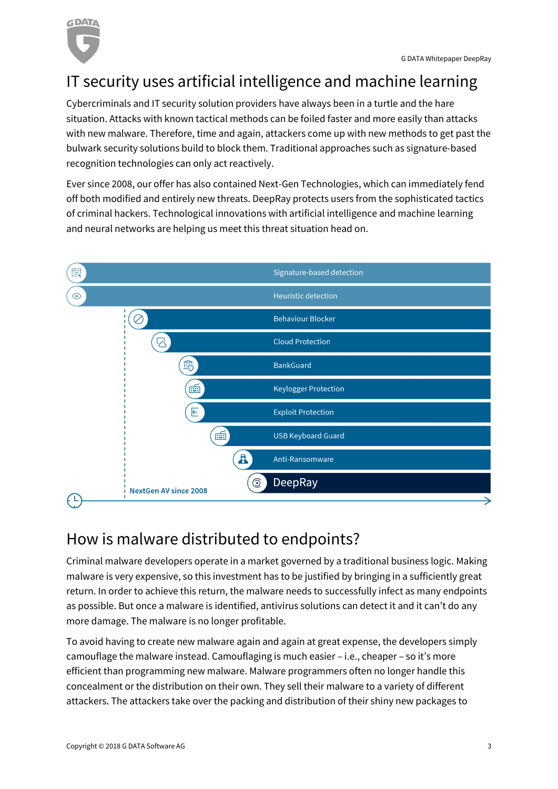

# <span id="page-2-0"></span>IT security uses artificial intelligence and machine learning

Cybercriminals and IT security solution providers have always been in a turtle and the hare situation. Attacks with known tactical methods can be foiled faster and more easily than attacks with new malware. Therefore, time and again, attackers come up with new methods to get past the bulwark security solutions build to block them. Traditional approaches such as signature-based recognition technologies can only act reactively.

Ever since 2008, our offer has also contained Next-Gen Technologies, which can immediately fend off both modified and entirely new threats. DeepRay protects users from the sophisticated tactics of criminal hackers. Technological innovations with artificial intelligence and machine learning and neural networks are helping us meet this threat situation head on.



# <span id="page-2-1"></span>How is malware distributed to endpoints?

Criminal malware developers operate in a market governed by a traditional business logic. Making malware is very expensive, so this investment has to be justified by bringing in a sufficiently great return. In order to achieve this return, the malware needs to successfully infect as many endpoints as possible. But once a malware is identified, antivirus solutions can detect it and it can't do any more damage. The malware is no longer profitable.

To avoid having to create new malware again and again at great expense, the developers simply camouflage the malware instead. Camouflaging is much easier – i.e., cheaper – so it's more efficient than programming new malware. Malware programmers often no longer handle this concealment or the distribution on their own. They sell their malware to a variety of different attackers. The attackers take over the packing and distribution of their shiny new packages to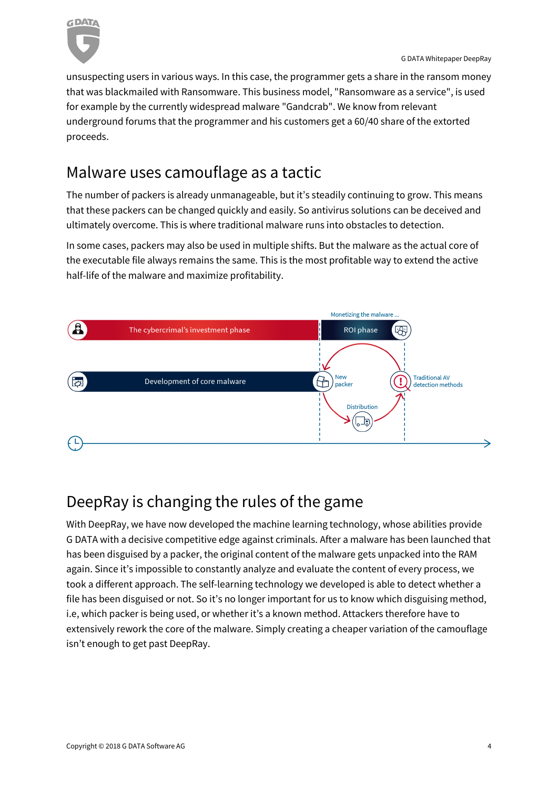

unsuspecting users in various ways. In this case, the programmer gets a share in the ransom money that was blackmailed with Ransomware. This business model, "Ransomware as a service", is used for example by the currently widespread malware "Gandcrab". We know from relevant underground forums that the programmer and his customers get a 60/40 share of the extorted proceeds.

### <span id="page-3-0"></span>Malware uses camouflage as a tactic

The number of packers is already unmanageable, but it's steadily continuing to grow. This means that these packers can be changed quickly and easily. So antivirus solutions can be deceived and ultimately overcome. This is where traditional malware runs into obstacles to detection.

In some cases, packers may also be used in multiple shifts. But the malware as the actual core of the executable file always remains the same. This is the most profitable way to extend the active half-life of the malware and maximize profitability.



# <span id="page-3-1"></span>DeepRay is changing the rules of the game

With DeepRay, we have now developed the machine learning technology, whose abilities provide G DATA with a decisive competitive edge against criminals. After a malware has been launched that has been disguised by a packer, the original content of the malware gets unpacked into the RAM again. Since it's impossible to constantly analyze and evaluate the content of every process, we took a different approach. The self-learning technology we developed is able to detect whether a file has been disguised or not. So it's no longer important for us to know which disguising method, i.e, which packer is being used, or whether it's a known method. Attackers therefore have to extensively rework the core of the malware. Simply creating a cheaper variation of the camouflage isn't enough to get past DeepRay.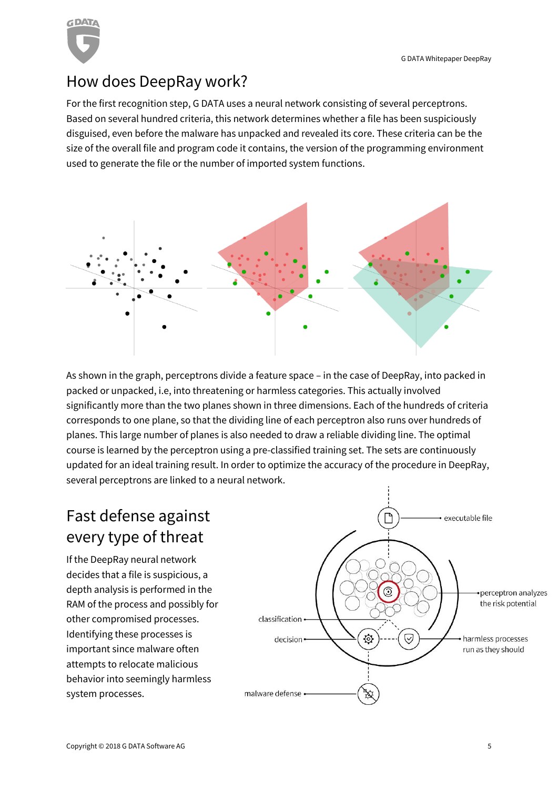G DATA Whitepaper DeepRay



### <span id="page-4-0"></span>How does DeepRay work?

For the first recognition step, G DATA uses a neural network consisting of several perceptrons. Based on several hundred criteria, this network determines whether a file has been suspiciously disguised, even before the malware has unpacked and revealed its core. These criteria can be the size of the overall file and program code it contains, the version of the programming environment used to generate the file or the number of imported system functions.



As shown in the graph, perceptrons divide a feature space – in the case of DeepRay, into packed in packed or unpacked, i.e, into threatening or harmless categories. This actually involved significantly more than the two planes shown in three dimensions. Each of the hundreds of criteria corresponds to one plane, so that the dividing line of each perceptron also runs over hundreds of planes. This large number of planes is also needed to draw a reliable dividing line. The optimal course is learned by the perceptron using a pre-classified training set. The sets are continuously updated for an ideal training result. In order to optimize the accuracy of the procedure in DeepRay, several perceptrons are linked to a neural network.

# <span id="page-4-1"></span>Fast defense against every type of threat

If the DeepRay neural network decides that a file is suspicious, a depth analysis is performed in the RAM of the process and possibly for other compromised processes. Identifying these processes is important since malware often attempts to relocate malicious behavior into seemingly harmless system processes.